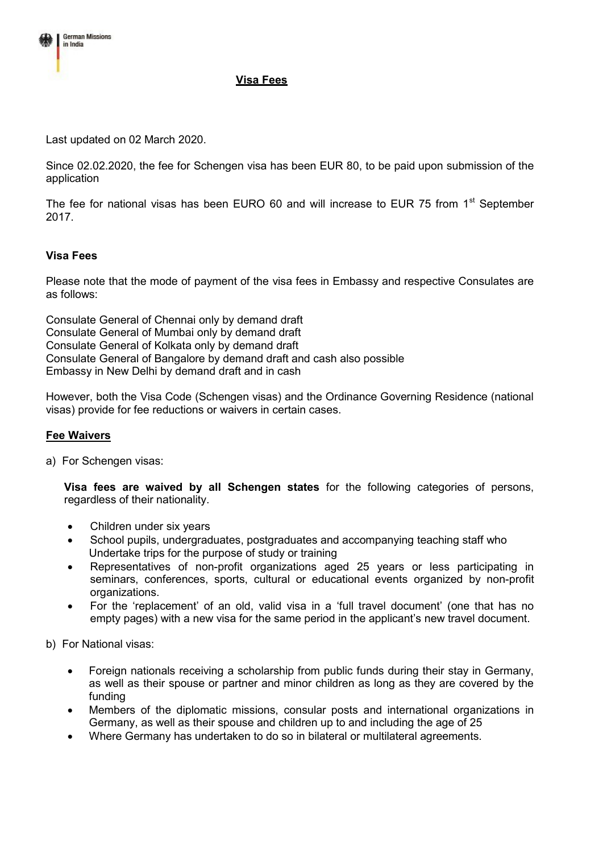

## **Visa Fees**

Last updated on 02 March 2020.

Since 02.02.2020, the fee for Schengen visa has been EUR 80, to be paid upon submission of the application

The fee for national visas has been EURO 60 and will increase to EUR 75 from  $1<sup>st</sup>$  September 2017.

## **Visa Fees**

Please note that the mode of payment of the visa fees in Embassy and respective Consulates are as follows:

Consulate General of Chennai only by demand draft Consulate General of Mumbai only by demand draft Consulate General of Kolkata only by demand draft Consulate General of Bangalore by demand draft and cash also possible Embassy in New Delhi by demand draft and in cash

However, both the Visa Code (Schengen visas) and the Ordinance Governing Residence (national visas) provide for fee reductions or waivers in certain cases.

## **Fee Waivers**

a) For Schengen visas:

**Visa fees are waived by all Schengen states** for the following categories of persons, regardless of their nationality.

- Children under six years
- School pupils, undergraduates, postgraduates and accompanying teaching staff who Undertake trips for the purpose of study or training
- Representatives of non-profit organizations aged 25 years or less participating in seminars, conferences, sports, cultural or educational events organized by non-profit organizations.
- For the 'replacement' of an old, valid visa in a 'full travel document' (one that has no empty pages) with a new visa for the same period in the applicant's new travel document.

b) For National visas:

- Foreign nationals receiving a scholarship from public funds during their stay in Germany, as well as their spouse or partner and minor children as long as they are covered by the funding
- Members of the diplomatic missions, consular posts and international organizations in Germany, as well as their spouse and children up to and including the age of 25
- Where Germany has undertaken to do so in bilateral or multilateral agreements.